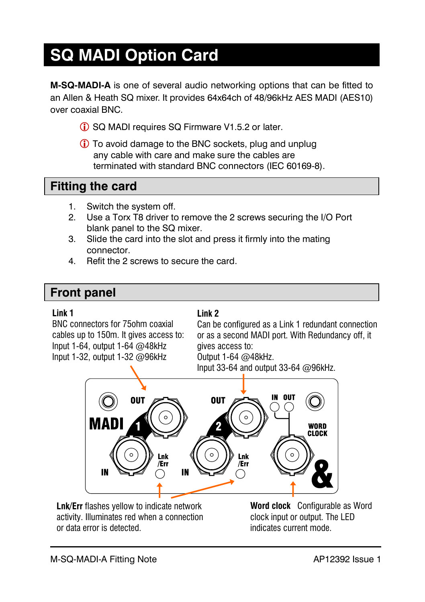# **SQ MADI Option Card**

**M-SQ-MADI-A** is one of several audio networking options that can be fitted to an Allen & Heath SQ mixer. It provides 64x64ch of 48/96kHz AES MADI (AES10) over coaxial BNC.

- **C** SQ MADI requires SQ Firmware V1.5.2 or later.
- To avoid damage to the BNC sockets, plug and unplug any cable with care and make sure the cables are terminated with standard BNC connectors (IEC 60169-8).

## **Fitting the card**

- 1. Switch the system off.
- 2. Use a Torx T8 driver to remove the 2 screws securing the I/O Port blank panel to the SQ mixer.
- 3. Slide the card into the slot and press it firmly into the mating connector.
- 4. Refit the 2 screws to secure the card.

## **Front panel**

#### **Link 1**

BNC connectors for 75ohm coaxial cables up to 150m. It gives access to: Input 1-64, output 1-64 @48kHz Input 1-32, output 1-32 @96kHz

#### **Link 2**

Can be configured as a Link 1 redundant connection or as a second MADI port. With Redundancy off, it gives access to: Output 1-64 @48kHz.

Input 33-64 and output 33-64 @96kHz.



**Lnk/Err** flashes yellow to indicate network activity. Illuminates red when a connection or data error is detected.

**Word clock** Configurable as Word clock input or output. The LED indicates current mode.